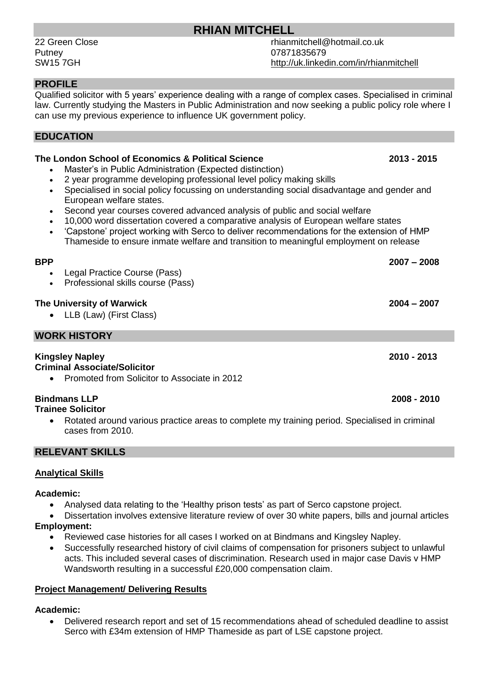# **RHIAN MITCHELL**

Putney 07871835679

22 Green Close rhianmitchell@hotmail.co.uk SW15 7GH http://uk.linkedin.com/in/rhianmitchell

### **PROFILE**

Qualified solicitor with 5 years' experience dealing with a range of complex cases. Specialised in criminal law. Currently studying the Masters in Public Administration and now seeking a public policy role where I can use my previous experience to influence UK government policy.

#### **EDUCATION**

## **The London School of Economics & Political Science 2013 - 2015**

- Master's in Public Administration (Expected distinction)
- 2 year programme developing professional level policy making skills
- Specialised in social policy focussing on understanding social disadvantage and gender and European welfare states.
- Second year courses covered advanced analysis of public and social welfare
- 10,000 word dissertation covered a comparative analysis of European welfare states
- 'Capstone' project working with Serco to deliver recommendations for the extension of HMP Thameside to ensure inmate welfare and transition to meaningful employment on release

#### **BPP 2007 – 2008**

- Legal Practice Course (Pass)
- Professional skills course (Pass)

#### **The University of Warwick 2004 – 2007**

• LLB (Law) (First Class)

#### **WORK HISTORY**

## **Kingsley Napley 2010 - 2013**

#### **Criminal Associate/Solicitor**

Promoted from Solicitor to Associate in 2012

#### **Bindmans LLP 2008 - 2010**

#### **Trainee Solicitor**

 Rotated around various practice areas to complete my training period. Specialised in criminal cases from 2010.

#### **RELEVANT SKILLS**

#### **Analytical Skills**

#### **Academic:**

Analysed data relating to the 'Healthy prison tests' as part of Serco capstone project.

 Dissertation involves extensive literature review of over 30 white papers, bills and journal articles **Employment:**

- Reviewed case histories for all cases I worked on at Bindmans and Kingsley Napley.
- Successfully researched history of civil claims of compensation for prisoners subject to unlawful acts. This included several cases of discrimination. Research used in major case Davis v HMP Wandsworth resulting in a successful £20,000 compensation claim.

#### **Project Management/ Delivering Results**

#### **Academic:**

 Delivered research report and set of 15 recommendations ahead of scheduled deadline to assist Serco with £34m extension of HMP Thameside as part of LSE capstone project.